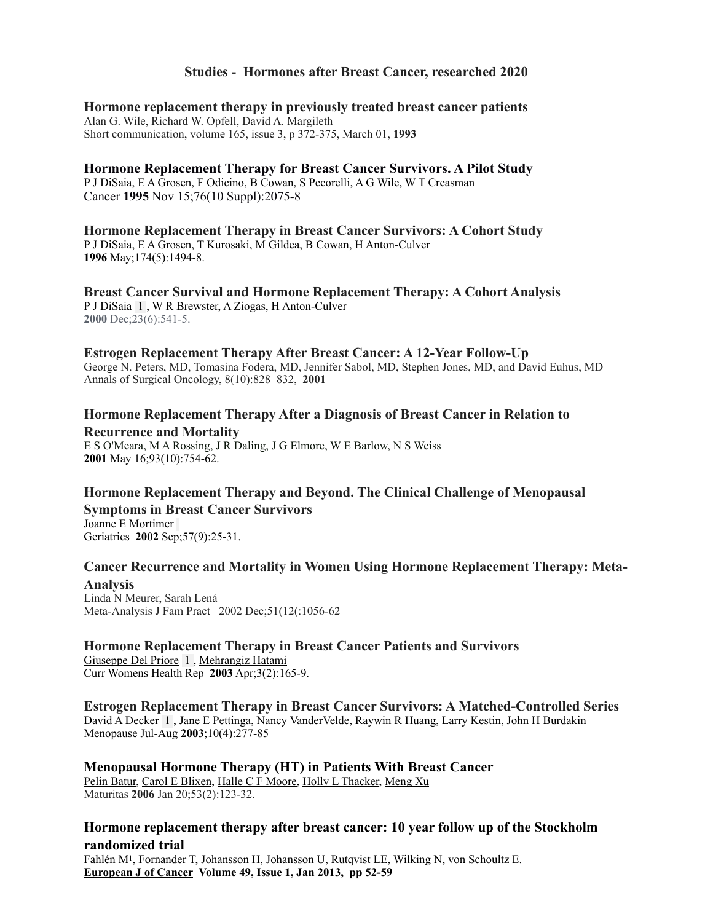#### **Studies - Hormones after Breast Cancer, researched 2020**

**Hormone replacement therapy in previously treated breast cancer patients**  Alan G. Wile, Richard W. Opfell, David A. Margileth Short communication, volume 165, issue 3, p 372-375, March 01, **1993**

**Hormone Replacement Therapy for Breast Cancer Survivors. A Pilot Study** [P J DiSaia](https://pubmed.ncbi.nlm.nih.gov/?term=DiSaia+PJ&cauthor_id=8635003), [E A Grosen](https://pubmed.ncbi.nlm.nih.gov/?term=Grosen+EA&cauthor_id=8635003), [F Odicino,](https://pubmed.ncbi.nlm.nih.gov/?term=Odicino+F&cauthor_id=8635003) [B Cowan](https://pubmed.ncbi.nlm.nih.gov/?term=Cowan+B&cauthor_id=8635003), [S Pecorelli,](https://pubmed.ncbi.nlm.nih.gov/?term=Pecorelli+S&cauthor_id=8635003) [A G Wile,](https://pubmed.ncbi.nlm.nih.gov/?term=Wile+AG&cauthor_id=8635003) [W T Creasman](https://pubmed.ncbi.nlm.nih.gov/?term=Creasman+WT&cauthor_id=8635003) Cancer **1995** Nov 15;76(10 Suppl):2075-8

**Hormone Replacement Therapy in Breast Cancer Survivors: A Cohort Study**  [P J DiSaia](https://pubmed.ncbi.nlm.nih.gov/?term=DiSaia+PJ&cauthor_id=9065117), [E A Grosen](https://pubmed.ncbi.nlm.nih.gov/?term=Grosen+EA&cauthor_id=9065117), [T Kurosaki](https://pubmed.ncbi.nlm.nih.gov/?term=Kurosaki+T&cauthor_id=9065117), [M Gildea](https://pubmed.ncbi.nlm.nih.gov/?term=Gildea+M&cauthor_id=9065117), [B Cowan,](https://pubmed.ncbi.nlm.nih.gov/?term=Cowan+B&cauthor_id=9065117) [H Anton-Culver](https://pubmed.ncbi.nlm.nih.gov/?term=Anton-Culver+H&cauthor_id=9065117)  **1996** May;174(5):1494-8.

**Breast Cancer Survival and Hormone Replacement Therapy: A Cohort Analysis**  [P J DiSaia](https://pubmed.ncbi.nlm.nih.gov/?term=DiSaia+PJ&cauthor_id=11202792) 1 , [W R Brewster](https://pubmed.ncbi.nlm.nih.gov/?term=Brewster+WR&cauthor_id=11202792), [A Ziogas](https://pubmed.ncbi.nlm.nih.gov/?term=Ziogas+A&cauthor_id=11202792), [H Anton-Culver](https://pubmed.ncbi.nlm.nih.gov/?term=Anton-Culver+H&cauthor_id=11202792) **2000** Dec;23(6):541-5.

#### **Estrogen Replacement Therapy After Breast Cancer: A 12-Year Follow-Up**

George N. Peters, MD, Tomasina Fodera, MD, Jennifer Sabol, MD, Stephen Jones, MD, and David Euhus, MD Annals of Surgical Oncology, 8(10):828–832, **2001**

# **Hormone Replacement Therapy After a Diagnosis of Breast Cancer in Relation to**

**Recurrence and Mortality**  [E S O'Meara](https://pubmed.ncbi.nlm.nih.gov/?term=O%2527Meara+ES&cauthor_id=11353785), [M A Rossing](https://pubmed.ncbi.nlm.nih.gov/?term=Rossing+MA&cauthor_id=11353785), [J R Daling](https://pubmed.ncbi.nlm.nih.gov/?term=Daling+JR&cauthor_id=11353785), [J G Elmore,](https://pubmed.ncbi.nlm.nih.gov/?term=Elmore+JG&cauthor_id=11353785) [W E Barlow,](https://pubmed.ncbi.nlm.nih.gov/?term=Barlow+WE&cauthor_id=11353785) [N S Weiss](https://pubmed.ncbi.nlm.nih.gov/?term=Weiss+NS&cauthor_id=11353785) **2001** May 16;93(10):754-62.

#### **Hormone Replacement Therapy and Beyond. The Clinical Challenge of Menopausal Symptoms in Breast Cancer Survivors**

[Joanne E Mortimer](https://pubmed.ncbi.nlm.nih.gov/?term=Mortimer+JE&cauthor_id=12271826) Geriatrics **2002** Sep;57(9):25-31.

#### **Cancer Recurrence and Mortality in Women Using Hormone Replacement Therapy: Meta-Analysis**

[Linda N Meurer,](https://pubmed.ncbi.nlm.nih.gov/?term=Meurer+LN&cauthor_id=12540332) [Sarah Lená](https://pubmed.ncbi.nlm.nih.gov/?term=Len%25C3%25A1+S&cauthor_id=12540332)  Meta-Analysis J Fam Pract 2002 Dec;51(12(:1056-62

#### **Hormone Replacement Therapy in Breast Cancer Patients and Survivors**

[Giuseppe Del Priore](https://pubmed.ncbi.nlm.nih.gov/?term=Del+Priore+G&cauthor_id=12628087) 1 , [Mehrangiz Hatami](https://pubmed.ncbi.nlm.nih.gov/?term=Hatami+M&cauthor_id=12628087) Curr Womens Health Rep **2003** Apr;3(2):165-9.

**Estrogen Replacement Therapy in Breast Cancer Survivors: A Matched-Controlled Series**  [David A Decker](https://pubmed.ncbi.nlm.nih.gov/?term=Decker+DA&cauthor_id=12851510) 1 , [Jane E Pettinga,](https://pubmed.ncbi.nlm.nih.gov/?term=Pettinga+JE&cauthor_id=12851510) [Nancy VanderVelde](https://pubmed.ncbi.nlm.nih.gov/?term=VanderVelde+N&cauthor_id=12851510), [Raywin R Huang,](https://pubmed.ncbi.nlm.nih.gov/?term=Huang+RR&cauthor_id=12851510) [Larry Kestin](https://pubmed.ncbi.nlm.nih.gov/?term=Kestin+L&cauthor_id=12851510), [John H Burdakin](https://pubmed.ncbi.nlm.nih.gov/?term=Burdakin+JH&cauthor_id=12851510)  Menopause Jul-Aug **2003**;10(4):277-85

#### **Menopausal Hormone Therapy (HT) in Patients With Breast Cancer**  [Pelin Batur,](https://pubmed.ncbi.nlm.nih.gov/?term=Batur+P&cauthor_id=16368466) [Carol E Blixen,](https://pubmed.ncbi.nlm.nih.gov/?term=Blixen+CE&cauthor_id=16368466) [Halle C F Moore,](https://pubmed.ncbi.nlm.nih.gov/?term=Moore+HC&cauthor_id=16368466) [Holly L Thacker,](https://pubmed.ncbi.nlm.nih.gov/?term=Thacker+HL&cauthor_id=16368466) [Meng Xu](https://pubmed.ncbi.nlm.nih.gov/?term=Xu+M&cauthor_id=16368466)

Maturitas **2006** Jan 20;53(2):123-32.

#### **Hormone replacement therapy after breast cancer: 10 year follow up of the Stockholm randomized trial**

[Fahlén M1](https://www.ncbi.nlm.nih.gov/pubmed/?term=Fahl%C3%A9n%20M%5BAuthor%5D&cauthor=true&cauthor_uid=22892060), [Fornander T,](https://www.ncbi.nlm.nih.gov/pubmed/?term=Fornander%20T%5BAuthor%5D&cauthor=true&cauthor_uid=22892060) [Johansson H,](https://www.ncbi.nlm.nih.gov/pubmed/?term=Johansson%20H%5BAuthor%5D&cauthor=true&cauthor_uid=22892060) [Johansson U](https://www.ncbi.nlm.nih.gov/pubmed/?term=Johansson%20U%5BAuthor%5D&cauthor=true&cauthor_uid=22892060), [Rutqvist LE](https://www.ncbi.nlm.nih.gov/pubmed/?term=Rutqvist%20LE%5BAuthor%5D&cauthor=true&cauthor_uid=22892060), [Wilking N,](https://www.ncbi.nlm.nih.gov/pubmed/?term=Wilking%20N%5BAuthor%5D&cauthor=true&cauthor_uid=22892060) [von Schoultz E](https://www.ncbi.nlm.nih.gov/pubmed/?term=von%20Schoultz%20E%5BAuthor%5D&cauthor=true&cauthor_uid=22892060). **European J of Cancer [Volume 49, Issue 1,](https://www.sciencedirect.com/science/journal/09598049/49/1) Jan 2013, pp 52-59**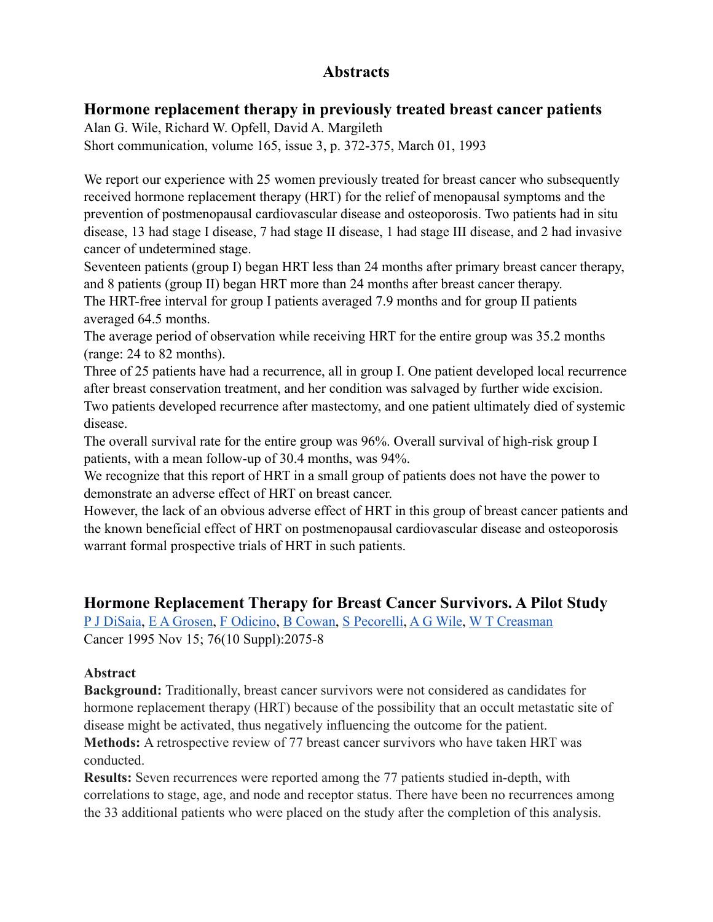# **Abstracts**

## **Hormone replacement therapy in previously treated breast cancer patients**

Alan G. Wile, Richard W. Opfell, David A. Margileth Short communication, volume 165, issue 3, p. 372-375, March 01, 1993

We report our experience with 25 women previously treated for breast cancer who subsequently received hormone replacement therapy (HRT) for the relief of menopausal symptoms and the prevention of postmenopausal cardiovascular disease and osteoporosis. Two patients had in situ disease, 13 had stage I disease, 7 had stage II disease, 1 had stage III disease, and 2 had invasive cancer of undetermined stage.

Seventeen patients (group I) began HRT less than 24 months after primary breast cancer therapy, and 8 patients (group II) began HRT more than 24 months after breast cancer therapy.

The HRT-free interval for group I patients averaged 7.9 months and for group II patients averaged 64.5 months.

The average period of observation while receiving HRT for the entire group was 35.2 months (range: 24 to 82 months).

Three of 25 patients have had a recurrence, all in group I. One patient developed local recurrence after breast conservation treatment, and her condition was salvaged by further wide excision. Two patients developed recurrence after mastectomy, and one patient ultimately died of systemic disease.

The overall survival rate for the entire group was 96%. Overall survival of high-risk group I patients, with a mean follow-up of 30.4 months, was 94%.

We recognize that this report of HRT in a small group of patients does not have the power to demonstrate an adverse effect of HRT on breast cancer.

However, the lack of an obvious adverse effect of HRT in this group of breast cancer patients and the known beneficial effect of HRT on postmenopausal cardiovascular disease and osteoporosis warrant formal prospective trials of HRT in such patients.

## **Hormone Replacement Therapy for Breast Cancer Survivors. A Pilot Study**

[P J DiSaia,](https://pubmed.ncbi.nlm.nih.gov/?term=DiSaia+PJ&cauthor_id=8635003) [E A Grosen,](https://pubmed.ncbi.nlm.nih.gov/?term=Grosen+EA&cauthor_id=8635003) [F Odicino](https://pubmed.ncbi.nlm.nih.gov/?term=Odicino+F&cauthor_id=8635003), [B Cowan](https://pubmed.ncbi.nlm.nih.gov/?term=Cowan+B&cauthor_id=8635003), [S Pecorelli,](https://pubmed.ncbi.nlm.nih.gov/?term=Pecorelli+S&cauthor_id=8635003) [A G Wile](https://pubmed.ncbi.nlm.nih.gov/?term=Wile+AG&cauthor_id=8635003), [W T Creasman](https://pubmed.ncbi.nlm.nih.gov/?term=Creasman+WT&cauthor_id=8635003) Cancer 1995 Nov 15; 76(10 Suppl):2075-8

### **Abstract**

**Background:** Traditionally, breast cancer survivors were not considered as candidates for hormone replacement therapy (HRT) because of the possibility that an occult metastatic site of disease might be activated, thus negatively influencing the outcome for the patient. **Methods:** A retrospective review of 77 breast cancer survivors who have taken HRT was conducted.

**Results:** Seven recurrences were reported among the 77 patients studied in-depth, with correlations to stage, age, and node and receptor status. There have been no recurrences among the 33 additional patients who were placed on the study after the completion of this analysis.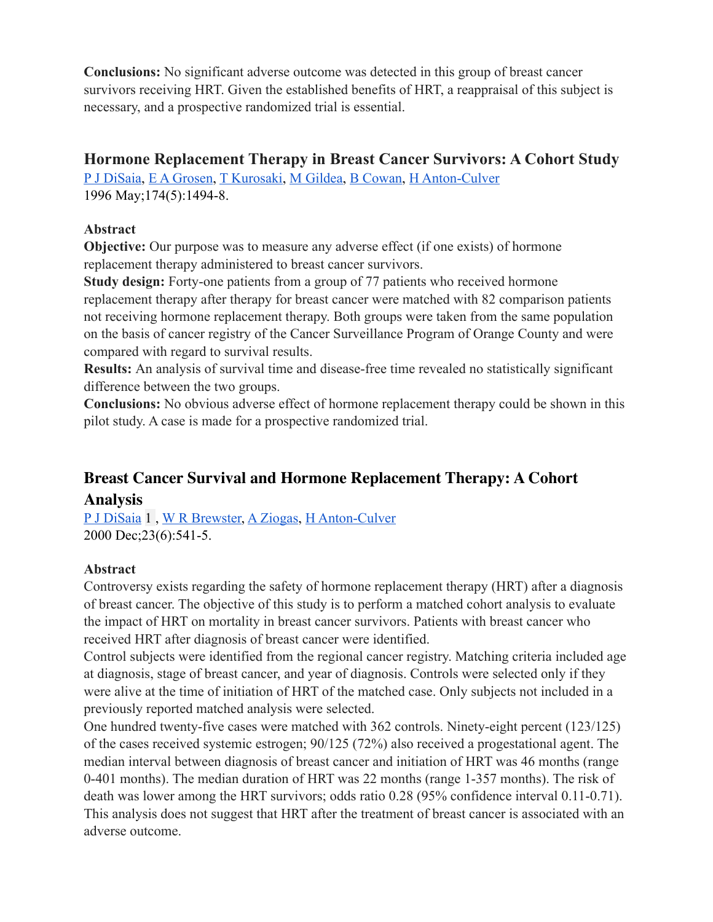**Conclusions:** No significant adverse outcome was detected in this group of breast cancer survivors receiving HRT. Given the established benefits of HRT, a reappraisal of this subject is necessary, and a prospective randomized trial is essential.

## **Hormone Replacement Therapy in Breast Cancer Survivors: A Cohort Study**

[P J DiSaia,](https://pubmed.ncbi.nlm.nih.gov/?term=DiSaia+PJ&cauthor_id=9065117) [E A Grosen,](https://pubmed.ncbi.nlm.nih.gov/?term=Grosen+EA&cauthor_id=9065117) [T Kurosaki,](https://pubmed.ncbi.nlm.nih.gov/?term=Kurosaki+T&cauthor_id=9065117) [M Gildea](https://pubmed.ncbi.nlm.nih.gov/?term=Gildea+M&cauthor_id=9065117), [B Cowan](https://pubmed.ncbi.nlm.nih.gov/?term=Cowan+B&cauthor_id=9065117), [H Anton-Culver](https://pubmed.ncbi.nlm.nih.gov/?term=Anton-Culver+H&cauthor_id=9065117) 1996 May;174(5):1494-8.

## **Abstract**

**Objective:** Our purpose was to measure any adverse effect (if one exists) of hormone replacement therapy administered to breast cancer survivors.

**Study design:** Forty-one patients from a group of 77 patients who received hormone replacement therapy after therapy for breast cancer were matched with 82 comparison patients not receiving hormone replacement therapy. Both groups were taken from the same population on the basis of cancer registry of the Cancer Surveillance Program of Orange County and were compared with regard to survival results.

**Results:** An analysis of survival time and disease-free time revealed no statistically significant difference between the two groups.

**Conclusions:** No obvious adverse effect of hormone replacement therapy could be shown in this pilot study. A case is made for a prospective randomized trial.

# **Breast Cancer Survival and Hormone Replacement Therapy: A Cohort Analysis**

[P J DiSaia](https://pubmed.ncbi.nlm.nih.gov/?term=DiSaia+PJ&cauthor_id=11202792) 1 , [W R Brewster,](https://pubmed.ncbi.nlm.nih.gov/?term=Brewster+WR&cauthor_id=11202792) [A Ziogas](https://pubmed.ncbi.nlm.nih.gov/?term=Ziogas+A&cauthor_id=11202792), [H Anton-Culver](https://pubmed.ncbi.nlm.nih.gov/?term=Anton-Culver+H&cauthor_id=11202792) 2000 Dec;23(6):541-5.

## **Abstract**

Controversy exists regarding the safety of hormone replacement therapy (HRT) after a diagnosis of breast cancer. The objective of this study is to perform a matched cohort analysis to evaluate the impact of HRT on mortality in breast cancer survivors. Patients with breast cancer who received HRT after diagnosis of breast cancer were identified.

Control subjects were identified from the regional cancer registry. Matching criteria included age at diagnosis, stage of breast cancer, and year of diagnosis. Controls were selected only if they were alive at the time of initiation of HRT of the matched case. Only subjects not included in a previously reported matched analysis were selected.

One hundred twenty-five cases were matched with 362 controls. Ninety-eight percent (123/125) of the cases received systemic estrogen; 90/125 (72%) also received a progestational agent. The median interval between diagnosis of breast cancer and initiation of HRT was 46 months (range 0-401 months). The median duration of HRT was 22 months (range 1-357 months). The risk of death was lower among the HRT survivors; odds ratio 0.28 (95% confidence interval 0.11-0.71). This analysis does not suggest that HRT after the treatment of breast cancer is associated with an adverse outcome.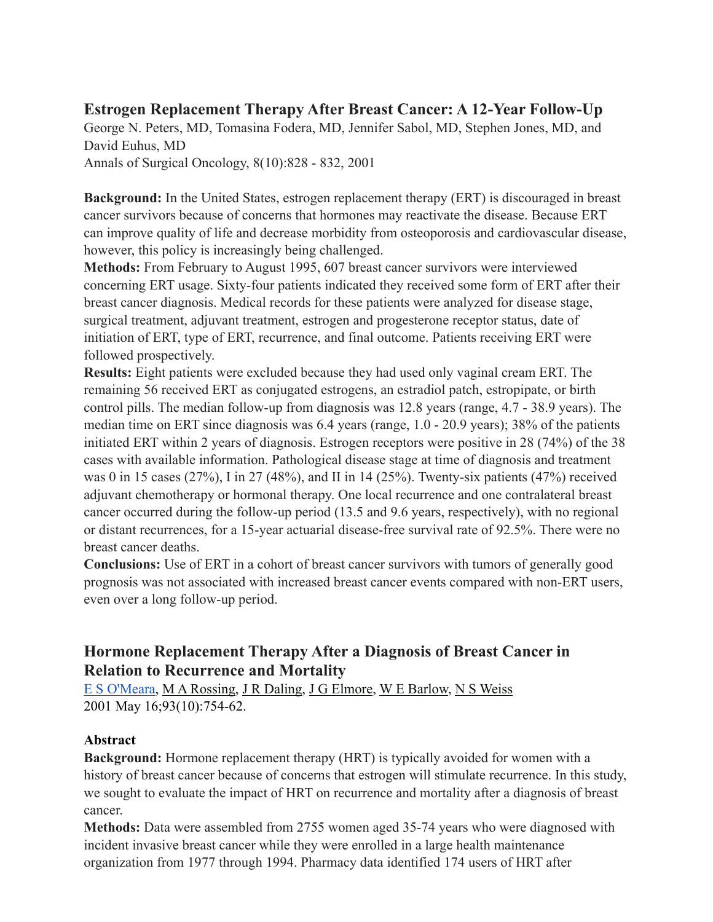# **Estrogen Replacement Therapy After Breast Cancer: A 12-Year Follow-Up**

George N. Peters, MD, Tomasina Fodera, MD, Jennifer Sabol, MD, Stephen Jones, MD, and David Euhus, MD

Annals of Surgical Oncology, 8(10):828 - 832, 2001

**Background:** In the United States, estrogen replacement therapy (ERT) is discouraged in breast cancer survivors because of concerns that hormones may reactivate the disease. Because ERT can improve quality of life and decrease morbidity from osteoporosis and cardiovascular disease, however, this policy is increasingly being challenged.

**Methods:** From February to August 1995, 607 breast cancer survivors were interviewed concerning ERT usage. Sixty-four patients indicated they received some form of ERT after their breast cancer diagnosis. Medical records for these patients were analyzed for disease stage, surgical treatment, adjuvant treatment, estrogen and progesterone receptor status, date of initiation of ERT, type of ERT, recurrence, and final outcome. Patients receiving ERT were followed prospectively.

**Results:** Eight patients were excluded because they had used only vaginal cream ERT. The remaining 56 received ERT as conjugated estrogens, an estradiol patch, estropipate, or birth control pills. The median follow-up from diagnosis was 12.8 years (range, 4.7 - 38.9 years). The median time on ERT since diagnosis was 6.4 years (range, 1.0 - 20.9 years); 38% of the patients initiated ERT within 2 years of diagnosis. Estrogen receptors were positive in 28 (74%) of the 38 cases with available information. Pathological disease stage at time of diagnosis and treatment was 0 in 15 cases (27%), I in 27 (48%), and II in 14 (25%). Twenty-six patients (47%) received adjuvant chemotherapy or hormonal therapy. One local recurrence and one contralateral breast cancer occurred during the follow-up period (13.5 and 9.6 years, respectively), with no regional or distant recurrences, for a 15-year actuarial disease-free survival rate of 92.5%. There were no breast cancer deaths.

**Conclusions:** Use of ERT in a cohort of breast cancer survivors with tumors of generally good prognosis was not associated with increased breast cancer events compared with non-ERT users, even over a long follow-up period.

# **Hormone Replacement Therapy After a Diagnosis of Breast Cancer in Relation to Recurrence and Mortality**

[E S O'Meara](https://pubmed.ncbi.nlm.nih.gov/?term=O%2527Meara+ES&cauthor_id=11353785), [M A Rossing](https://pubmed.ncbi.nlm.nih.gov/?term=Rossing+MA&cauthor_id=11353785), [J R Daling,](https://pubmed.ncbi.nlm.nih.gov/?term=Daling+JR&cauthor_id=11353785) [J G Elmore](https://pubmed.ncbi.nlm.nih.gov/?term=Elmore+JG&cauthor_id=11353785), [W E Barlow,](https://pubmed.ncbi.nlm.nih.gov/?term=Barlow+WE&cauthor_id=11353785) [N S Weiss](https://pubmed.ncbi.nlm.nih.gov/?term=Weiss+NS&cauthor_id=11353785) 2001 May 16;93(10):754-62.

### **Abstract**

**Background:** Hormone replacement therapy (HRT) is typically avoided for women with a history of breast cancer because of concerns that estrogen will stimulate recurrence. In this study, we sought to evaluate the impact of HRT on recurrence and mortality after a diagnosis of breast cancer.

**Methods:** Data were assembled from 2755 women aged 35-74 years who were diagnosed with incident invasive breast cancer while they were enrolled in a large health maintenance organization from 1977 through 1994. Pharmacy data identified 174 users of HRT after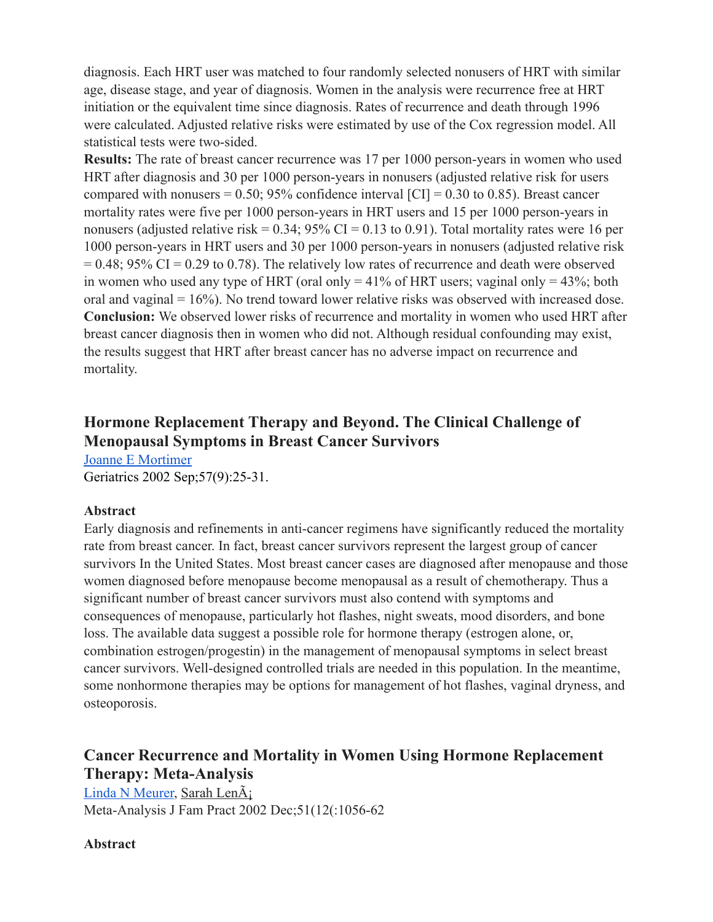diagnosis. Each HRT user was matched to four randomly selected nonusers of HRT with similar age, disease stage, and year of diagnosis. Women in the analysis were recurrence free at HRT initiation or the equivalent time since diagnosis. Rates of recurrence and death through 1996 were calculated. Adjusted relative risks were estimated by use of the Cox regression model. All statistical tests were two-sided.

**Results:** The rate of breast cancer recurrence was 17 per 1000 person-years in women who used HRT after diagnosis and 30 per 1000 person-years in nonusers (adjusted relative risk for users compared with nonusers  $= 0.50$ ; 95% confidence interval [CI]  $= 0.30$  to 0.85). Breast cancer mortality rates were five per 1000 person-years in HRT users and 15 per 1000 person-years in nonusers (adjusted relative risk =  $0.34$ ;  $95\%$  CI =  $0.13$  to  $0.91$ ). Total mortality rates were 16 per 1000 person-years in HRT users and 30 per 1000 person-years in nonusers (adjusted relative risk  $= 0.48$ ; 95% CI = 0.29 to 0.78). The relatively low rates of recurrence and death were observed in women who used any type of HRT (oral only  $= 41\%$  of HRT users; vaginal only  $= 43\%$ ; both oral and vaginal = 16%). No trend toward lower relative risks was observed with increased dose. **Conclusion:** We observed lower risks of recurrence and mortality in women who used HRT after breast cancer diagnosis then in women who did not. Although residual confounding may exist, the results suggest that HRT after breast cancer has no adverse impact on recurrence and mortality.

# **Hormone Replacement Therapy and Beyond. The Clinical Challenge of Menopausal Symptoms in Breast Cancer Survivors**

[Joanne E Mortimer](https://pubmed.ncbi.nlm.nih.gov/?term=Mortimer+JE&cauthor_id=12271826) Geriatrics 2002 Sep;57(9):25-31.

#### **Abstract**

Early diagnosis and refinements in anti-cancer regimens have significantly reduced the mortality rate from breast cancer. In fact, breast cancer survivors represent the largest group of cancer survivors In the United States. Most breast cancer cases are diagnosed after menopause and those women diagnosed before menopause become menopausal as a result of chemotherapy. Thus a significant number of breast cancer survivors must also contend with symptoms and consequences of menopause, particularly hot flashes, night sweats, mood disorders, and bone loss. The available data suggest a possible role for hormone therapy (estrogen alone, or, combination estrogen/progestin) in the management of menopausal symptoms in select breast cancer survivors. Well-designed controlled trials are needed in this population. In the meantime, some nonhormone therapies may be options for management of hot flashes, vaginal dryness, and osteoporosis.

# **Cancer Recurrence and Mortality in Women Using Hormone Replacement Therapy: Meta-Analysis**

[Linda N Meurer,](https://pubmed.ncbi.nlm.nih.gov/?term=Meurer+LN&cauthor_id=12540332) Sarah LenÃi Meta-Analysis J Fam Pract 2002 Dec;51(12(:1056-62

### **Abstract**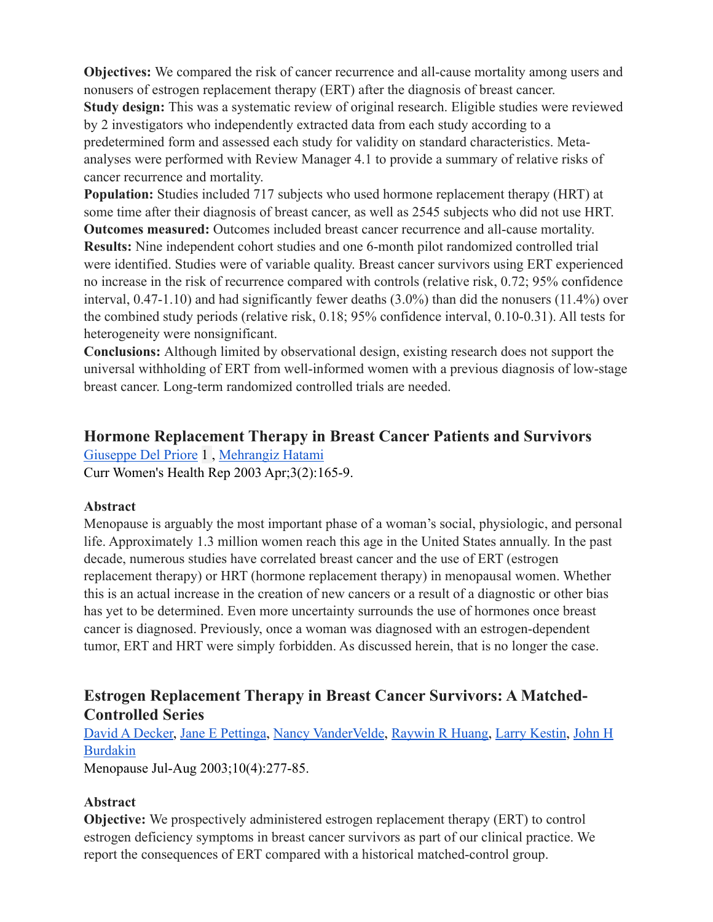**Objectives:** We compared the risk of cancer recurrence and all-cause mortality among users and nonusers of estrogen replacement therapy (ERT) after the diagnosis of breast cancer. **Study design:** This was a systematic review of original research. Eligible studies were reviewed by 2 investigators who independently extracted data from each study according to a predetermined form and assessed each study for validity on standard characteristics. Metaanalyses were performed with Review Manager 4.1 to provide a summary of relative risks of cancer recurrence and mortality.

**Population:** Studies included 717 subjects who used hormone replacement therapy (HRT) at some time after their diagnosis of breast cancer, as well as 2545 subjects who did not use HRT. **Outcomes measured:** Outcomes included breast cancer recurrence and all-cause mortality. **Results:** Nine independent cohort studies and one 6-month pilot randomized controlled trial were identified. Studies were of variable quality. Breast cancer survivors using ERT experienced no increase in the risk of recurrence compared with controls (relative risk, 0.72; 95% confidence

interval, 0.47-1.10) and had significantly fewer deaths (3.0%) than did the nonusers (11.4%) over the combined study periods (relative risk, 0.18; 95% confidence interval, 0.10-0.31). All tests for heterogeneity were nonsignificant.

**Conclusions:** Although limited by observational design, existing research does not support the universal withholding of ERT from well-informed women with a previous diagnosis of low-stage breast cancer. Long-term randomized controlled trials are needed.

# **Hormone Replacement Therapy in Breast Cancer Patients and Survivors**

[Giuseppe Del Priore](https://pubmed.ncbi.nlm.nih.gov/?term=Del+Priore+G&cauthor_id=12628087) 1 , [Mehrangiz Hatami](https://pubmed.ncbi.nlm.nih.gov/?term=Hatami+M&cauthor_id=12628087) Curr Women's Health Rep 2003 Apr;3(2):165-9.

### **Abstract**

Menopause is arguably the most important phase of a woman's social, physiologic, and personal life. Approximately 1.3 million women reach this age in the United States annually. In the past decade, numerous studies have correlated breast cancer and the use of ERT (estrogen replacement therapy) or HRT (hormone replacement therapy) in menopausal women. Whether this is an actual increase in the creation of new cancers or a result of a diagnostic or other bias has yet to be determined. Even more uncertainty surrounds the use of hormones once breast cancer is diagnosed. Previously, once a woman was diagnosed with an estrogen-dependent tumor, ERT and HRT were simply forbidden. As discussed herein, that is no longer the case.

# **Estrogen Replacement Therapy in Breast Cancer Survivors: A Matched-Controlled Series**

[David A Decker,](https://pubmed.ncbi.nlm.nih.gov/?term=Decker+DA&cauthor_id=12851510) [Jane E Pettinga,](https://pubmed.ncbi.nlm.nih.gov/?term=Pettinga+JE&cauthor_id=12851510) [Nancy VanderVelde](https://pubmed.ncbi.nlm.nih.gov/?term=VanderVelde+N&cauthor_id=12851510), [Raywin R Huang,](https://pubmed.ncbi.nlm.nih.gov/?term=Huang+RR&cauthor_id=12851510) [Larry Kestin,](https://pubmed.ncbi.nlm.nih.gov/?term=Kestin+L&cauthor_id=12851510) [John H](https://pubmed.ncbi.nlm.nih.gov/?term=Burdakin+JH&cauthor_id=12851510)  [Burdakin](https://pubmed.ncbi.nlm.nih.gov/?term=Burdakin+JH&cauthor_id=12851510)

Menopause Jul-Aug 2003;10(4):277-85.

## **Abstract**

**Objective:** We prospectively administered estrogen replacement therapy (ERT) to control estrogen deficiency symptoms in breast cancer survivors as part of our clinical practice. We report the consequences of ERT compared with a historical matched-control group.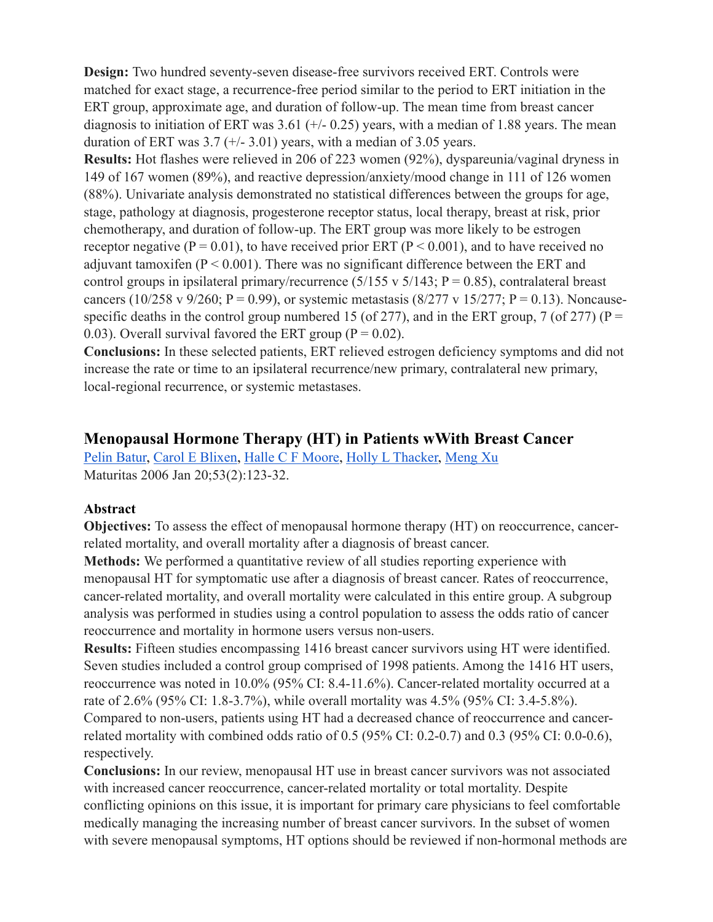**Design:** Two hundred seventy-seven disease-free survivors received ERT. Controls were matched for exact stage, a recurrence-free period similar to the period to ERT initiation in the ERT group, approximate age, and duration of follow-up. The mean time from breast cancer diagnosis to initiation of ERT was  $3.61$  (+/- 0.25) years, with a median of 1.88 years. The mean duration of ERT was  $3.7$  (+/-  $3.01$ ) years, with a median of  $3.05$  years.

**Results:** Hot flashes were relieved in 206 of 223 women (92%), dyspareunia/vaginal dryness in 149 of 167 women (89%), and reactive depression/anxiety/mood change in 111 of 126 women (88%). Univariate analysis demonstrated no statistical differences between the groups for age, stage, pathology at diagnosis, progesterone receptor status, local therapy, breast at risk, prior chemotherapy, and duration of follow-up. The ERT group was more likely to be estrogen receptor negative ( $P = 0.01$ ), to have received prior ERT ( $P < 0.001$ ), and to have received no adjuvant tamoxifen ( $P < 0.001$ ). There was no significant difference between the ERT and control groups in ipsilateral primary/recurrence  $(5/155 \text{ v } 5/143; P = 0.85)$ , contralateral breast cancers (10/258 v 9/260; P = 0.99), or systemic metastasis (8/277 v 15/277; P = 0.13). Noncausespecific deaths in the control group numbered 15 (of 277), and in the ERT group, 7 (of 277) ( $P =$ 0.03). Overall survival favored the ERT group ( $P = 0.02$ ).

**Conclusions:** In these selected patients, ERT relieved estrogen deficiency symptoms and did not increase the rate or time to an ipsilateral recurrence/new primary, contralateral new primary, local-regional recurrence, or systemic metastases.

### **Menopausal Hormone Therapy (HT) in Patients wWith Breast Cancer**

[Pelin Batur,](https://pubmed.ncbi.nlm.nih.gov/?term=Batur+P&cauthor_id=16368466) [Carol E Blixen,](https://pubmed.ncbi.nlm.nih.gov/?term=Blixen+CE&cauthor_id=16368466) [Halle C F Moore,](https://pubmed.ncbi.nlm.nih.gov/?term=Moore+HC&cauthor_id=16368466) [Holly L Thacker,](https://pubmed.ncbi.nlm.nih.gov/?term=Thacker+HL&cauthor_id=16368466) [Meng Xu](https://pubmed.ncbi.nlm.nih.gov/?term=Xu+M&cauthor_id=16368466) Maturitas 2006 Jan 20;53(2):123-32.

#### **Abstract**

respectively.

**Objectives:** To assess the effect of menopausal hormone therapy (HT) on reoccurrence, cancerrelated mortality, and overall mortality after a diagnosis of breast cancer.

**Methods:** We performed a quantitative review of all studies reporting experience with menopausal HT for symptomatic use after a diagnosis of breast cancer. Rates of reoccurrence, cancer-related mortality, and overall mortality were calculated in this entire group. A subgroup analysis was performed in studies using a control population to assess the odds ratio of cancer reoccurrence and mortality in hormone users versus non-users.

**Results:** Fifteen studies encompassing 1416 breast cancer survivors using HT were identified. Seven studies included a control group comprised of 1998 patients. Among the 1416 HT users, reoccurrence was noted in 10.0% (95% CI: 8.4-11.6%). Cancer-related mortality occurred at a rate of 2.6% (95% CI: 1.8-3.7%), while overall mortality was 4.5% (95% CI: 3.4-5.8%). Compared to non-users, patients using HT had a decreased chance of reoccurrence and cancerrelated mortality with combined odds ratio of 0.5 (95% CI: 0.2-0.7) and 0.3 (95% CI: 0.0-0.6),

**Conclusions:** In our review, menopausal HT use in breast cancer survivors was not associated with increased cancer reoccurrence, cancer-related mortality or total mortality. Despite conflicting opinions on this issue, it is important for primary care physicians to feel comfortable medically managing the increasing number of breast cancer survivors. In the subset of women with severe menopausal symptoms, HT options should be reviewed if non-hormonal methods are